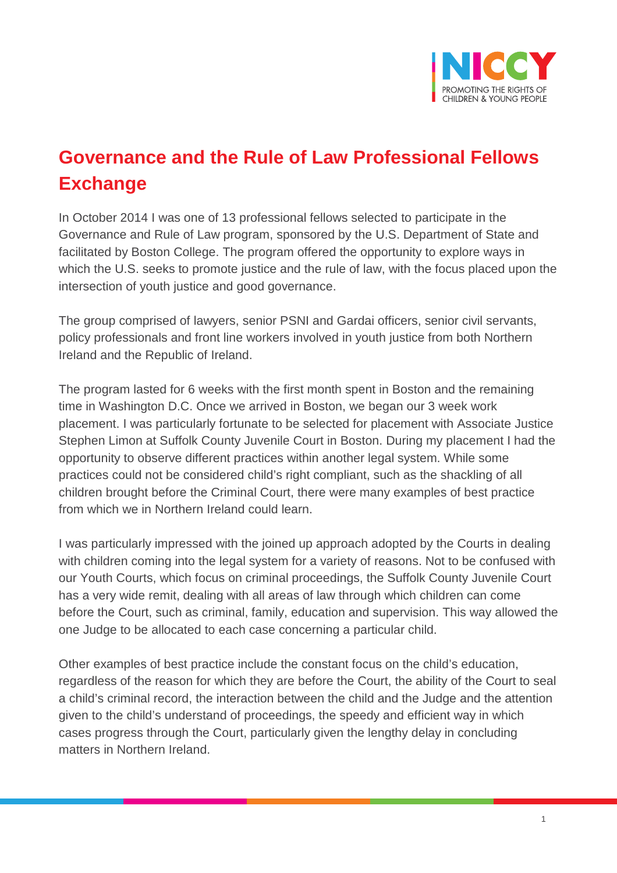

## **Governance and the Rule of Law Professional Fellows Exchange**

In October 2014 I was one of 13 professional fellows selected to participate in the Governance and Rule of Law program, sponsored by the U.S. Department of State and facilitated by Boston College. The program offered the opportunity to explore ways in which the U.S. seeks to promote justice and the rule of law, with the focus placed upon the intersection of youth justice and good governance.

The group comprised of lawyers, senior PSNI and Gardai officers, senior civil servants, policy professionals and front line workers involved in youth justice from both Northern Ireland and the Republic of Ireland.

The program lasted for 6 weeks with the first month spent in Boston and the remaining time in Washington D.C. Once we arrived in Boston, we began our 3 week work placement. I was particularly fortunate to be selected for placement with Associate Justice Stephen Limon at Suffolk County Juvenile Court in Boston. During my placement I had the opportunity to observe different practices within another legal system. While some practices could not be considered child's right compliant, such as the shackling of all children brought before the Criminal Court, there were many examples of best practice from which we in Northern Ireland could learn.

I was particularly impressed with the joined up approach adopted by the Courts in dealing with children coming into the legal system for a variety of reasons. Not to be confused with our Youth Courts, which focus on criminal proceedings, the Suffolk County Juvenile Court has a very wide remit, dealing with all areas of law through which children can come before the Court, such as criminal, family, education and supervision. This way allowed the one Judge to be allocated to each case concerning a particular child.

Other examples of best practice include the constant focus on the child's education, regardless of the reason for which they are before the Court, the ability of the Court to seal a child's criminal record, the interaction between the child and the Judge and the attention given to the child's understand of proceedings, the speedy and efficient way in which cases progress through the Court, particularly given the lengthy delay in concluding matters in Northern Ireland.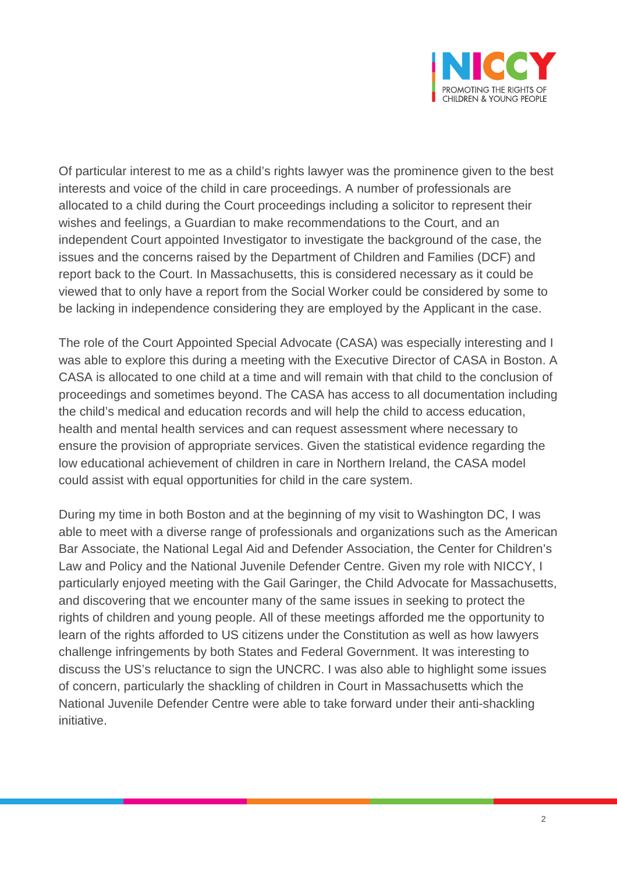

Of particular interest to me as a child's rights lawyer was the prominence given to the best interests and voice of the child in care proceedings. A number of professionals are allocated to a child during the Court proceedings including a solicitor to represent their wishes and feelings, a Guardian to make recommendations to the Court, and an independent Court appointed Investigator to investigate the background of the case, the issues and the concerns raised by the Department of Children and Families (DCF) and report back to the Court. In Massachusetts, this is considered necessary as it could be viewed that to only have a report from the Social Worker could be considered by some to be lacking in independence considering they are employed by the Applicant in the case.

The role of the Court Appointed Special Advocate (CASA) was especially interesting and I was able to explore this during a meeting with the Executive Director of CASA in Boston. A CASA is allocated to one child at a time and will remain with that child to the conclusion of proceedings and sometimes beyond. The CASA has access to all documentation including the child's medical and education records and will help the child to access education, health and mental health services and can request assessment where necessary to ensure the provision of appropriate services. Given the statistical evidence regarding the low educational achievement of children in care in Northern Ireland, the CASA model could assist with equal opportunities for child in the care system.

During my time in both Boston and at the beginning of my visit to Washington DC, I was able to meet with a diverse range of professionals and organizations such as the American Bar Associate, the National Legal Aid and Defender Association, the Center for Children's Law and Policy and the National Juvenile Defender Centre. Given my role with NICCY, I particularly enjoyed meeting with the Gail Garinger, the Child Advocate for Massachusetts, and discovering that we encounter many of the same issues in seeking to protect the rights of children and young people. All of these meetings afforded me the opportunity to learn of the rights afforded to US citizens under the Constitution as well as how lawyers challenge infringements by both States and Federal Government. It was interesting to discuss the US's reluctance to sign the UNCRC. I was also able to highlight some issues of concern, particularly the shackling of children in Court in Massachusetts which the National Juvenile Defender Centre were able to take forward under their anti-shackling initiative.